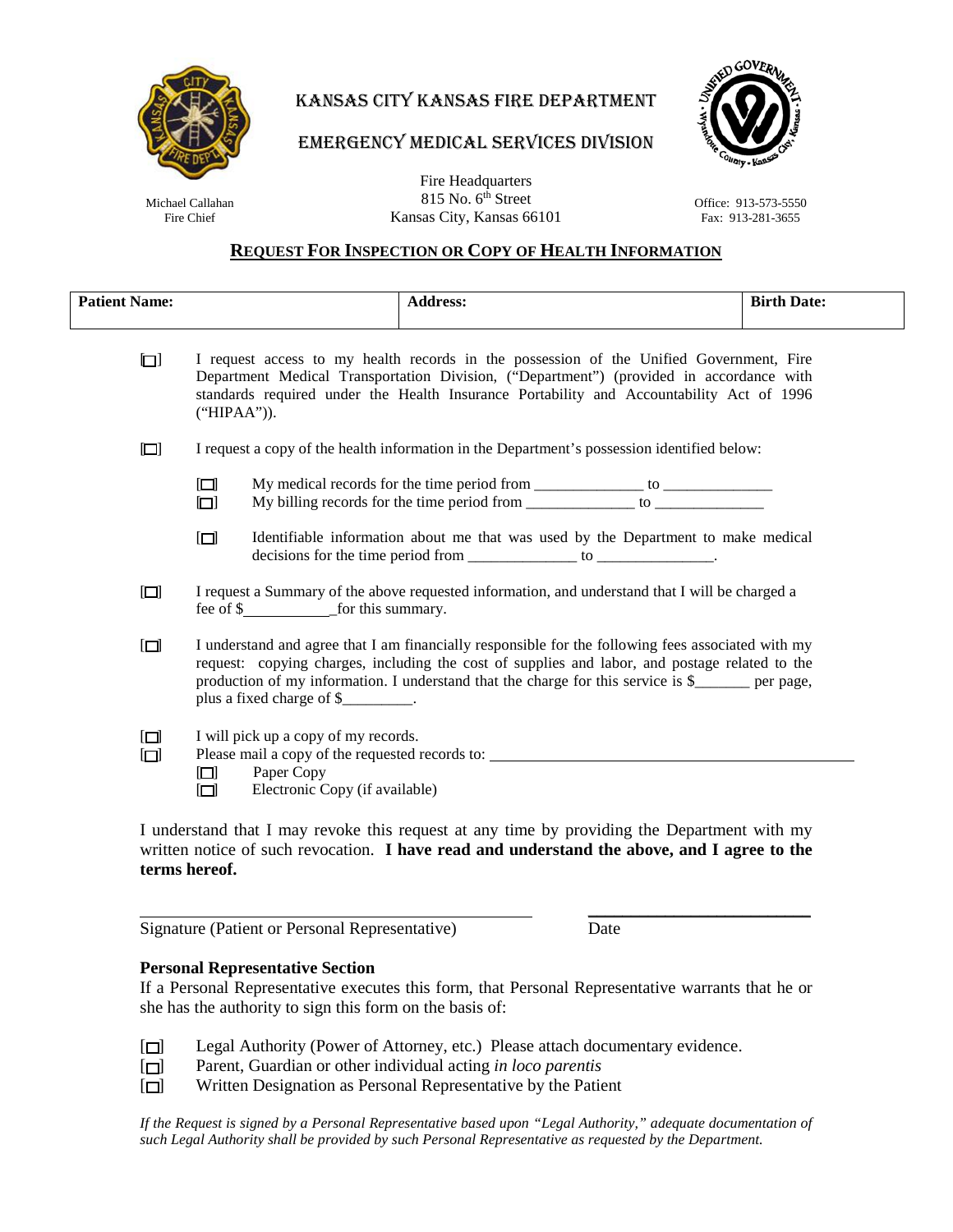

# KANSAS CITY KANSAS FIRE DEPARTMENT

#### MEDICAL CEDIT EMERGENCY MEDICAL SERVICES DIVISION



Michael Callahan Fire Chief

Fire Headquarters 815 No. 6<sup>th</sup> Street Kansas City, Kansas 66101

#### Office: 913-573-5550 Fax: 913-281-3655

## **REQUEST FOR INSPECTION OR COPY OF HEALTH INFORMATION**

| <b>Patient Name:</b> |                                                                                                                                                                                                                                                                                                                                                  | <b>Address:</b>                                                                                                                                                                            | <b>Birth Date:</b> |
|----------------------|--------------------------------------------------------------------------------------------------------------------------------------------------------------------------------------------------------------------------------------------------------------------------------------------------------------------------------------------------|--------------------------------------------------------------------------------------------------------------------------------------------------------------------------------------------|--------------------|
| $\Box$               | I request access to my health records in the possession of the Unified Government, Fire<br>Department Medical Transportation Division, ("Department") (provided in accordance with<br>standards required under the Health Insurance Portability and Accountability Act of 1996<br>("HIPAA").                                                     |                                                                                                                                                                                            |                    |
| $\Box$               | I request a copy of the health information in the Department's possession identified below:                                                                                                                                                                                                                                                      |                                                                                                                                                                                            |                    |
|                      | $\Box$<br>$\Box$                                                                                                                                                                                                                                                                                                                                 | My medical records for the time period from ________________ to ________________<br>My billing records for the time period from ________________ to ________________                       |                    |
|                      | $\Box$                                                                                                                                                                                                                                                                                                                                           | Identifiable information about me that was used by the Department to make medical<br>decisions for the time period from ________________ to ______________.                                |                    |
| $\Box$               | I request a Summary of the above requested information, and understand that I will be charged a                                                                                                                                                                                                                                                  |                                                                                                                                                                                            |                    |
| $\Box$               | I understand and agree that I am financially responsible for the following fees associated with my<br>request: copying charges, including the cost of supplies and labor, and postage related to the<br>production of my information. I understand that the charge for this service is \$______ per page,<br>plus a fixed charge of \$_________. |                                                                                                                                                                                            |                    |
| $\Box$<br>$\Box$     | I will pick up a copy of my records.<br>Please mail a copy of the requested records to: _________________________________<br>Paper Copy<br>$\Box$<br>Electronic Copy (if available)<br>$\Box$                                                                                                                                                    |                                                                                                                                                                                            |                    |
|                      |                                                                                                                                                                                                                                                                                                                                                  | I understand that I may revoke this request at any time by providing the Department with my<br>written notice of such revecestion. I have read and understand the shave and I agree to the |                    |

written notice of such revocation. **I have read and understand the above, and I agree to the terms hereof.**

\_\_\_\_\_\_\_\_\_\_\_\_\_\_\_\_\_\_\_\_\_\_\_\_\_\_

Signature (Patient or Personal Representative) Date

## **Personal Representative Section**

If a Personal Representative executes this form, that Personal Representative warrants that he or she has the authority to sign this form on the basis of:

- [ $\square$ ] Legal Authority (Power of Attorney, etc.) Please attach documentary evidence.
- [ ] Parent, Guardian or other individual acting *in loco parentis*
- [ $\Box$ ] Written Designation as Personal Representative by the Patient

*If the Request is signed by a Personal Representative based upon "Legal Authority," adequate documentation of such Legal Authority shall be provided by such Personal Representative as requested by the Department.*